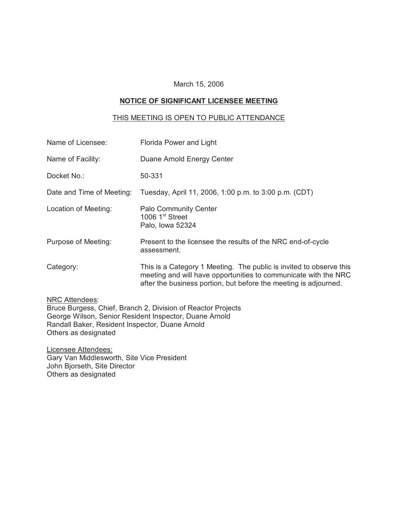## March 15, 2006

## **NOTICE OF SIGNIFICANT LICENSEE MEETING**

## THIS MEETING IS OPEN TO PUBLIC ATTENDANCE

| Name of Licensee:         | Florida Power and Light                                                                                                                                                                                    |
|---------------------------|------------------------------------------------------------------------------------------------------------------------------------------------------------------------------------------------------------|
| Name of Facility:         | Duane Arnold Energy Center                                                                                                                                                                                 |
| Docket No.:               | 50-331                                                                                                                                                                                                     |
| Date and Time of Meeting: | Tuesday, April 11, 2006, 1:00 p.m. to 3:00 p.m. (CDT)                                                                                                                                                      |
| Location of Meeting:      | <b>Palo Community Center</b><br>1006 $1st$ Street<br>Palo, Iowa 52324                                                                                                                                      |
| Purpose of Meeting:       | Present to the licensee the results of the NRC end-of-cycle<br>assessment.                                                                                                                                 |
| Category:                 | This is a Category 1 Meeting. The public is invited to observe this<br>meeting and will have opportunities to communicate with the NRC<br>after the business portion, but before the meeting is adjourned. |

NRC Attendees: Bruce Burgess, Chief, Branch 2, Division of Reactor Projects George Wilson, Senior Resident Inspector, Duane Arnold Randall Baker, Resident Inspector, Duane Arnold Others as designated

Licensee Attendees: Gary Van Middlesworth, Site Vice President John Bjorseth, Site Director Others as designated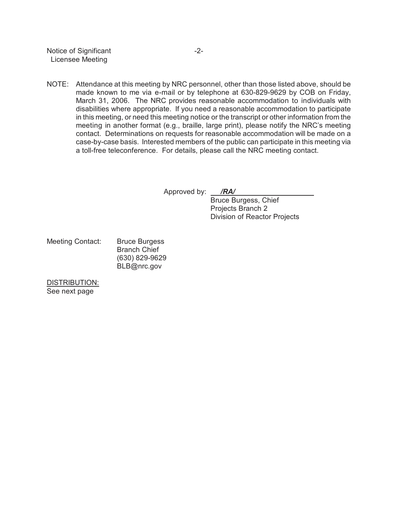Notice of Significant -2-Licensee Meeting

NOTE: Attendance at this meeting by NRC personnel, other than those listed above, should be made known to me via e-mail or by telephone at 630-829-9629 by COB on Friday, March 31, 2006. The NRC provides reasonable accommodation to individuals with disabilities where appropriate. If you need a reasonable accommodation to participate in this meeting, or need this meeting notice or the transcript or other information from the meeting in another format (e.g., braille, large print), please notify the NRC's meeting contact. Determinations on requests for reasonable accommodation will be made on a case-by-case basis. Interested members of the public can participate in this meeting via a toll-free teleconference. For details, please call the NRC meeting contact.

Approved by: */RA/*

Bruce Burgess, Chief Projects Branch 2 Division of Reactor Projects

Meeting Contact: Bruce Burgess Branch Chief (630) 829-9629 BLB@nrc.gov

DISTRIBUTION: See next page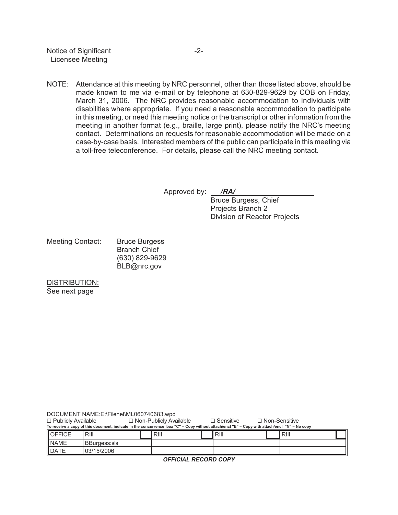Notice of Significant -2-Licensee Meeting

NOTE: Attendance at this meeting by NRC personnel, other than those listed above, should be made known to me via e-mail or by telephone at 630-829-9629 by COB on Friday, March 31, 2006. The NRC provides reasonable accommodation to individuals with disabilities where appropriate. If you need a reasonable accommodation to participate in this meeting, or need this meeting notice or the transcript or other information from the meeting in another format (e.g., braille, large print), please notify the NRC's meeting contact. Determinations on requests for reasonable accommodation will be made on a case-by-case basis. Interested members of the public can participate in this meeting via a toll-free teleconference. For details, please call the NRC meeting contact.

Approved by: */RA/* 

Bruce Burgess, Chief Projects Branch 2 Division of Reactor Projects

Meeting Contact: Bruce Burgess Branch Chief (630) 829-9629 BLB@nrc.gov

DISTRIBUTION: See next page

| DOCUMENT NAME:E:\Filenet\ML060740683.wpd                                                                                                     |  |                               |  |                                          |  |      |  |  |  |  |
|----------------------------------------------------------------------------------------------------------------------------------------------|--|-------------------------------|--|------------------------------------------|--|------|--|--|--|--|
| $\Box$ Publicly Available                                                                                                                    |  | $\Box$ Non-Publicly Available |  | $\Box$ Non-Sensitive<br>$\Box$ Sensitive |  |      |  |  |  |  |
| To receive a copy of this document, indicate in the concurrence box "C" = Copy without attach/encl "E" = Copy with attach/encl "N" = No copy |  |                               |  |                                          |  |      |  |  |  |  |
| OFFICE<br>RIII                                                                                                                               |  | RIII                          |  | RIII                                     |  | RIII |  |  |  |  |
| <b>NAME</b><br><b>BBurgess:sls</b>                                                                                                           |  |                               |  |                                          |  |      |  |  |  |  |
| <b>DATE</b><br>03/15/2006                                                                                                                    |  |                               |  |                                          |  |      |  |  |  |  |
|                                                                                                                                              |  |                               |  |                                          |  |      |  |  |  |  |

*OFFICIAL RECORD COPY*